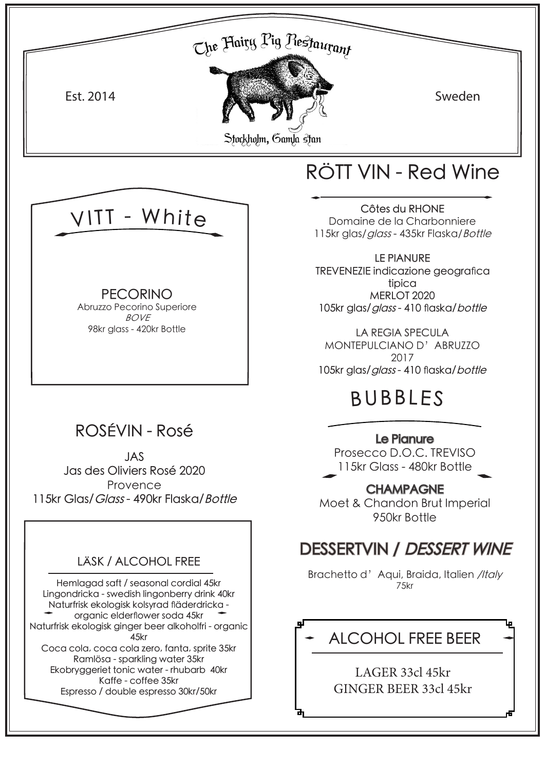



Brachetto d' Aqui, Braida, Italien /Italy